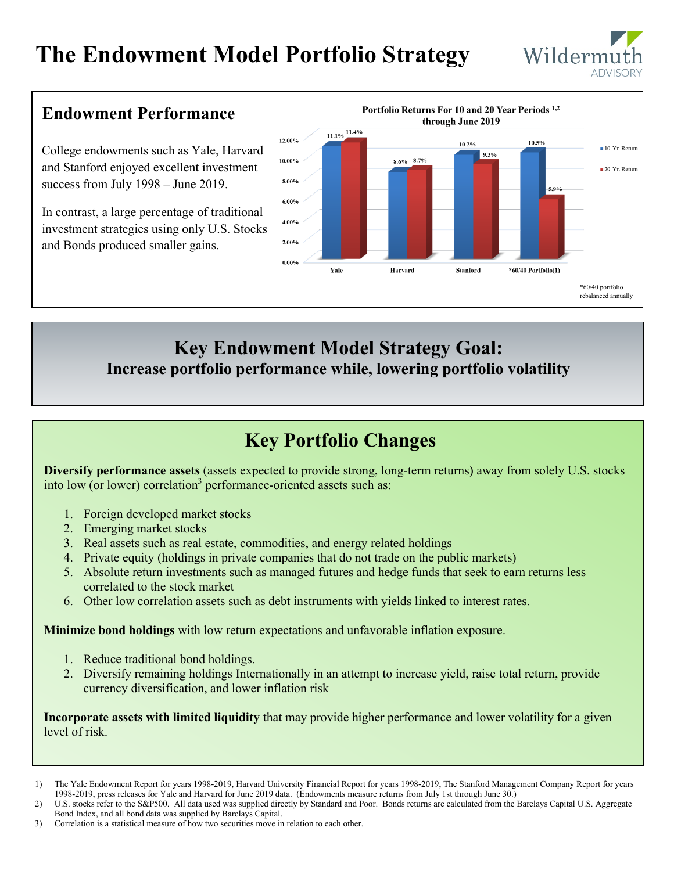# **The Endowment Model Portfolio Strategy**



### **Endowment Performance**

College endowments such as Yale, Harvard and Stanford enjoyed excellent investment success from July 1998 – June 2019.

In contrast, a large percentage of traditional investment strategies using only U.S. Stocks and Bonds produced smaller gains.



### **Key Endowment Model Strategy Goal: Increase portfolio performance while, lowering portfolio volatility**

## **Key Portfolio Changes**

**Diversify performance assets** (assets expected to provide strong, long-term returns) away from solely U.S. stocks into low (or lower) correlation<sup>3</sup> performance-oriented assets such as:

- 1. Foreign developed market stocks
- 2. Emerging market stocks
- 3. Real assets such as real estate, commodities, and energy related holdings
- 4. Private equity (holdings in private companies that do not trade on the public markets)
- 5. Absolute return investments such as managed futures and hedge funds that seek to earn returns less correlated to the stock market
- 6. Other low correlation assets such as debt instruments with yields linked to interest rates.

**Minimize bond holdings** with low return expectations and unfavorable inflation exposure.

- 1. Reduce traditional bond holdings.
- 2. Diversify remaining holdings Internationally in an attempt to increase yield, raise total return, provide currency diversification, and lower inflation risk

**Incorporate assets with limited liquidity** that may provide higher performance and lower volatility for a given level of risk.

3) Correlation is a statistical measure of how two securities move in relation to each other.

<sup>1)</sup> The Yale Endowment Report for years 1998-2019, Harvard University Financial Report for years 1998-2019, The Stanford Management Company Report for years 1998-2019, press releases for Yale and Harvard for June 2019 data. (Endowments measure returns from July 1st through June 30.)

<sup>2)</sup> U.S. stocks refer to the S&P500. All data used was supplied directly by Standard and Poor. Bonds returns are calculated from the Barclays Capital U.S. Aggregate Bond Index, and all bond data was supplied by Barclays Capital.